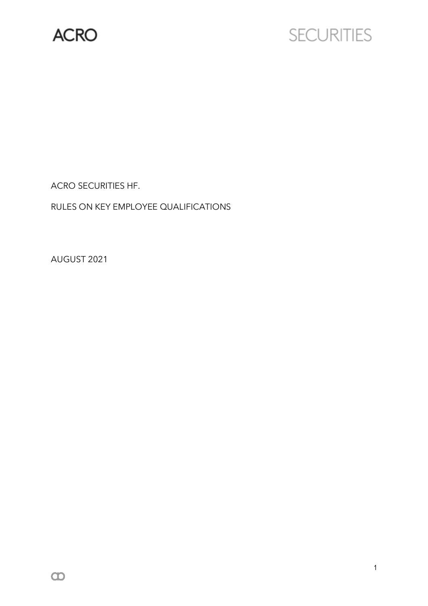

# **SECURITIES**

ACRO SECURITIES HF.

RULES ON KEY EMPLOYEE QUALIFICATIONS

AUGUST 2021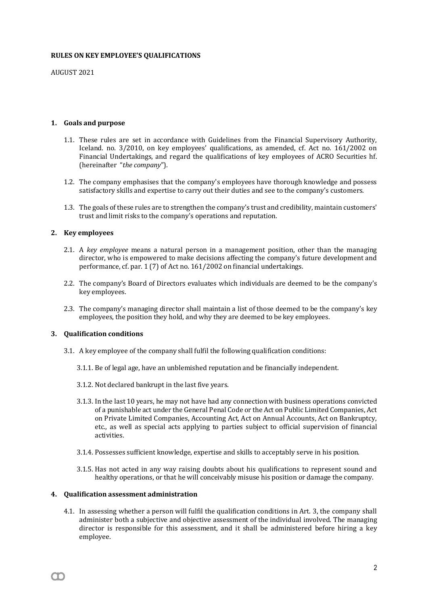#### **RULES ON KEY EMPLOYEE'S QUALIFICATIONS**

AUGUST 2021

# **1. Goals and purpose**

- 1.1. These rules are set in accordance with Guidelines from the Financial Supervisory Authority, Iceland. no. 3/2010, on key employees' qualifications, as amended, cf. Act no. 161/2002 on Financial Undertakings, and regard the qualifications of key employees of ACRO Securities hf. (hereinafter "*the company*").
- 1.2. The company emphasises that the company's employees have thorough knowledge and possess satisfactory skills and expertise to carry out their duties and see to the company's customers.
- 1.3. The goals of these rules are to strengthen the company's trust and credibility, maintain customers' trust and limit risks to the company's operations and reputation.

# **2. Key employees**

- 2.1. A *key employee* means a natural person in a management position, other than the managing director, who is empowered to make decisions affecting the company's future development and performance, cf. par. 1 (7) of Act no. 161/2002 on financial undertakings.
- 2.2. The company's Board of Directors evaluates which individuals are deemed to be the company's key employees.
- 2.3. The company's managing director shall maintain a list of those deemed to be the company's key employees, the position they hold, and why they are deemed to be key employees.

#### **3. Qualification conditions**

- 3.1. A key employee of the company shall fulfil the following qualification conditions:
	- 3.1.1. Be of legal age, have an unblemished reputation and be financially independent.
	- 3.1.2. Not declared bankrupt in the last five years.
	- 3.1.3. In the last 10 years, he may not have had any connection with business operations convicted of a punishable act under the General Penal Code or the Act on Public Limited Companies, Act on Private Limited Companies, Accounting Act, Act on Annual Accounts, Act on Bankruptcy, etc., as well as special acts applying to parties subject to official supervision of financial activities.
	- 3.1.4. Possesses sufficient knowledge, expertise and skills to acceptably serve in his position.
	- 3.1.5. Has not acted in any way raising doubts about his qualifications to represent sound and healthy operations, or that he will conceivably misuse his position or damage the company.

#### **4. Qualification assessment administration**

m

4.1. In assessing whether a person will fulfil the qualification conditions in Art. 3, the company shall administer both a subjective and objective assessment of the individual involved. The managing director is responsible for this assessment, and it shall be administered before hiring a key employee.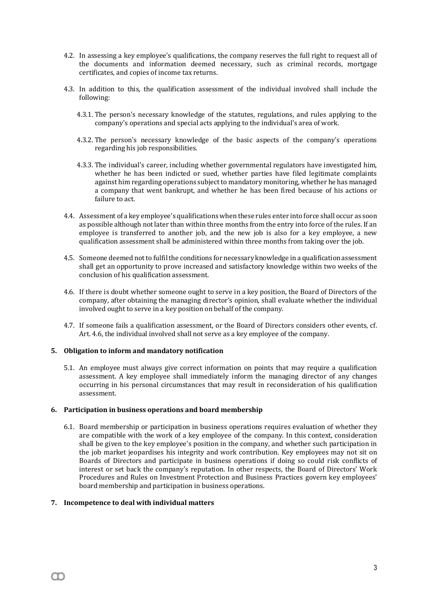- 4.2. In assessing a key employee's qualifications, the company reserves the full right to request all of the documents and information deemed necessary, such as criminal records, mortgage certificates, and copies of income tax returns.
- 4.3. In addition to this, the qualification assessment of the individual involved shall include the following:
	- 4.3.1. The person's necessary knowledge of the statutes, regulations, and rules applying to the company's operations and special acts applying to the individual's area of work.
	- 4.3.2. The person's necessary knowledge of the basic aspects of the company's operations regarding his job responsibilities.
	- 4.3.3. The individual's career, including whether governmental regulators have investigated him, whether he has been indicted or sued, whether parties have filed legitimate complaints against him regarding operations subject to mandatory monitoring, whether he has managed a company that went bankrupt, and whether he has been fired because of his actions or failure to act.
- 4.4. Assessment of a key employee's qualificationswhen these rules enter into force shall occur as soon as possible although not later than within three months from the entry into force of the rules. If an employee is transferred to another job, and the new job is also for a key employee, a new qualification assessment shall be administered within three months from taking over the job.
- 4.5. Someone deemed not to fulfil the conditions for necessary knowledge in a qualification assessment shall get an opportunity to prove increased and satisfactory knowledge within two weeks of the conclusion of his qualification assessment.
- 4.6. If there is doubt whether someone ought to serve in a key position, the Board of Directors of the company, after obtaining the managing director's opinion, shall evaluate whether the individual involved ought to serve in a key position on behalf of the company.
- 4.7. If someone fails a qualification assessment, or the Board of Directors considers other events, cf. Art. 4.6, the individual involved shall not serve as a key employee of the company.

# **5. Obligation to inform and mandatory notification**

5.1. An employee must always give correct information on points that may require a qualification assessment. A key employee shall immediately inform the managing director of any changes occurring in his personal circumstances that may result in reconsideration of his qualification assessment.

# **6. Participation in business operations and board membership**

6.1. Board membership or participation in business operations requires evaluation of whether they are compatible with the work of a key employee of the company. In this context, consideration shall be given to the key employee's position in the company, and whether such participation in the job market jeopardises his integrity and work contribution. Key employees may not sit on Boards of Directors and participate in business operations if doing so could risk conflicts of interest or set back the company's reputation. In other respects, the Board of Directors' Work Procedures and Rules on Investment Protection and Business Practices govern key employees' board membership and participation in business operations.

# **7. Incompetence to deal with individual matters**

m